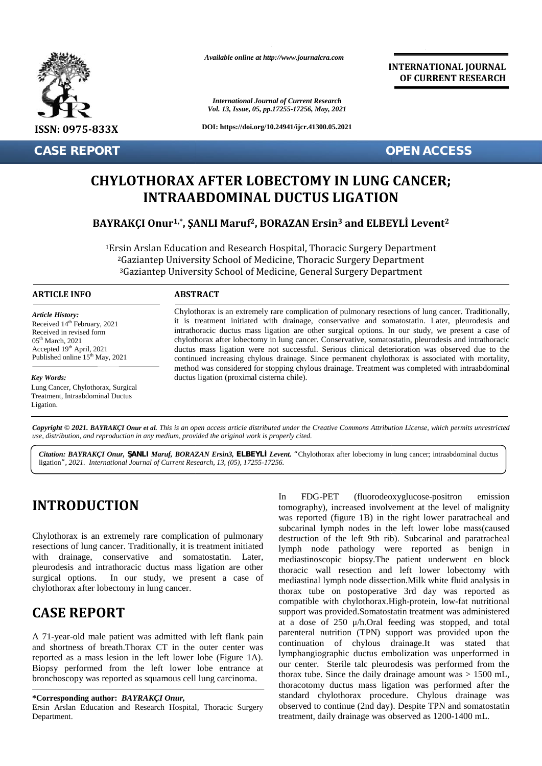

**CASE REPORT OPEN ACCESS**

*Available online at http://www.journalcra.com*

*International Journal of Current Research Vol. 13, Issue, 05, pp.17255-17256, May, 2021*

**DOI: https://doi.org/10.24941/ijcr.41300.05.2021**

**INTERNATIONAL JOURNAL OF CURRENT RESEARCH**

# **CHYLOTHORAX AFTER LOBECTOMY IN LUNG CANCER; AFTERLOBECTOMYCANCER;INTRAABDOMINAL DUCTUS LIGATION**

### **BAYRAKÇI Onur1,\* , ŞANLI Maruf2, BORAZAN Ersin<sup>3</sup> and ELBEYLİ Levent<sup>2</sup> Ersin32**

<sup>1</sup>Ersin Arslan Education and Research Hospital, Thoracic Surgery Department <sup>2</sup>Gaziantep University School of Medicine, Thoracic Surgery Department <sup>3</sup>Gaziantep University School of Medicine, General Surgery Department **CHYLOTHORAX AFTER LOBECTOMY IN LUNG CAN<br>
INTRAABDOMINAL DUCTUS LIGATION<br>
BAYRAKÇI Onur<sup>1,\*</sup>, SANLI Maruf<sup>2</sup>, BORAZAN Ersin<sup>3</sup> and ELBEYLI Le<br>
<sup>1</sup>Ersin Arslan Education and Research Hospital, Thoracic Surgery Departme<br>
<sup>2</sup>** 

### **ARTICLE INFO ABSTRACT ARTICLE ABSTRACT**

*Article History: Article History:* Received  $14<sup>th</sup>$  February, 2021 Received 14 February, 2021<br>Received in revised form  $05<sup>th</sup> March, 2021$ Accepted  $19<sup>th</sup>$  April, 2021 d Published online  $15^{th}$  May, 2021

### *Key Words:*

Lung Cancer, Chylothorax, Surgical Treatment, Intraabdominal Ductus Ligation.

Chylothorax is an extremely rare complication of pulmonary resections of lung cancer. Traditionally, it is treatment initiated with drainage, conservative and somatostatin. Later, pleurodesis and intrathoracic ductus mass ligation are other surgical options. In our study, we present a case of chylothorax after lobectomy in lung cancer. Conservative, somatostatin, pleurodesis and intrathoracic ductus mass ligation were not successful. Serious clinical deterioration was observed due to the continued increasing chylous drainage. Since permanent chylothorax is associated with mortality, method was considered for stopping chylous drainage. Treatment was completed with intraabdominal<br>ductus ligation (proximal cisterna chile). ductus ligation (proximal cisterna chile). it is treatment initiated with drainage, conservative and somatostatin. Later, pleurodesis and intrathoracic ductus mass ligation are other surgical options. In our study, we present a case of chylothorax after lobectomy i *Current initials (in the specifical with the intrathoracic ductus mass ligation*<br> *Current intrathoracic ductus mass ligation*<br> *Current in the ductus mass ligation* were not specified to the continued increasing chylous **INTRAABDOMINAL DUCTUS LIGATION**<br> **BAYRAKÇI Onur<sup>1,\*</sup>, ŞANLI Maruf<sup>2</sup>, BORAZAN Ersin<sup>3</sup> and ELBEYLİ Levent<sup>2</sup><br>
<sup>1</sup>Ersin Arslan Education and Research Hospital, Thoracic Surgery Department<br>
<sup>2</sup>Gaziantep University School o** 

Copyright © 2021. BAYRAKCI Onur et al. This is an open access article distributed under the Creative Commons Attribution License, which permits unrestricted **Copyright © 2021. BAYRAKÇI Onur et al.** This is an open access article distributed under the Creative Commons Attribution<br>use, distribution, and reproduction in any medium, provided the original work is properly cited.

Citation: BAYRAKÇI Onur, ANLI Maruf, BORAZAN Ersin3, ELBEYL Levent. "Chylothorax after lobectomy in lung cancer; intraabdominal ductus ligation*", 2021. International Journal of Current Research, 13, (05), 17255-17256.*

## **INTRODUCTION INTRODUCTION**

Chylothorax is an extremely rare complication of pulmonary resections of lung cancer. Traditionally, it is treatment initiated with drainage, conservative and somatostatin. Later, pleurodesis and intrathoracic ductus mass ligation are other surgical options. In our study, we present a case of surgical options. In our study, we present a case of chylothorax after lobectomy in lung cancer. Chylothorax is an extremely rare complication of pulmonary<br>resections of lung cancer. Traditionally, it is treatment initiated<br>with drainage, conservative and somatostatin. Later,<br>pleurodesis and intrathoracic ductus mass

# **CASE REPORT CASE**

A 71-year-old male patient was admitted with left flank pain and shortness of breath.Thorax CT in the outer center was reported as a mass lesion in the left lower lobe (Figure 1A). Biopsy performed from the left lower lobe entrance at bronchoscopy was reported as squamous cell lung carcinoma. bronchoscopy was reported as squamous cell lung carcinoma. A 71-year-old male patient was a<br>and shortness of breath.Thorax C<br>reported as a mass lesion in the le Figure 1A). Iymphangiographic ductus<br>
Imass lesion in the left lower lobe (Figure 1A).<br>
Some the dail<br>
was reported as squamous cell lung carcinoma.<br>
The divideo our center. Sterile tale p<br>
thorax tube. Since the dail<br>
tho

In FDG-PET (fluorodeoxyglucose-positron emission tomography), increased involvement at the level of malignity was reported (figure 1B) in the right lower paratracheal and subcarinal lymph nodes in the left lower lobe mass(caused destruction of the left 9th rib). Subcarinal and paratracheal lymph node pathology were reported as benign in mediastinoscopic biopsy. The left lower lobe mass(caused destruction of the left 9th rib). Subcarinal and paratracheal lymph node pathology were reported as benign in mediastinoscopic biopsy. The patient underwent en block thoracic wall resection and left lower lobectomy with mediastinal lymph node dissection.Milk white fluid analysis in thorax tube on postoperative 3rd day was reported as compatible with chylothorax.High-protein, low-fat nutritional support was provided. Somatostatin treatment was administered at a dose of 250 μ/h.Oral feeding was stopped, and total parenteral nutrition (TPN) support was provided upon the continuation of chylous drainage.It was stated that lymphangiographic ductus embolization was unperformed in our center. Sterile talc pleurodesis was performed from the thorax tube. Since the daily drainage amount was  $> 1500$  mL, thoracotomy ductus mass ligation was performed after the standard chylothorax procedure. Chylous drainage was observed to continue (2nd day). Despite TPN and somatostatin treatment, daily drainage was observed as 1200-1400 mL. Ersin Arslan Department. lymph node dissection.Milk where on postoperative 3rd day<br>with chylothorax.High-protein, dose of 250  $\mu$ /h.Oral feeding was stopped, and total interal nutrition (TPN) support was provided upon the inuation of chylous drainage.It was stated that oblangiographic ductus embolization was unperformed in center. S *International Islands (Summa Retarnet Research* 10 and 2021<br> *INTERAABDOMINAL DUCTUS LI*<br>
INTERAABDOMINAL DUCTUS LI<br>
INTERAABDOMINAL DUCTUS LI<br>
INTERAABDOMINAL DUCTUS LI<br>
<sup>162</sup>ESE AMORA AFTER LOBECTOMY INTERAABDOMINAL DUC

**<sup>\*</sup>Corresponding author:** *BAYRAKÇI Onur,* **\*Corresponding** 

Ersin Arslan Education and Research Hospital, Thoracic Surgery Department.